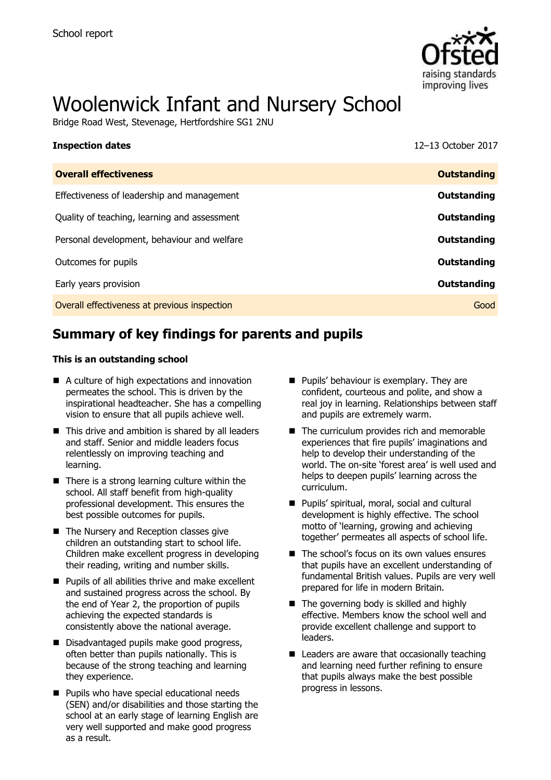

# Woolenwick Infant and Nursery School

Bridge Road West, Stevenage, Hertfordshire SG1 2NU

| <b>Inspection dates</b>                      | 12-13 October 2017 |
|----------------------------------------------|--------------------|
| <b>Overall effectiveness</b>                 | <b>Outstanding</b> |
| Effectiveness of leadership and management   | Outstanding        |
| Quality of teaching, learning and assessment | Outstanding        |
| Personal development, behaviour and welfare  | Outstanding        |
| Outcomes for pupils                          | Outstanding        |
| Early years provision                        | Outstanding        |
| Overall effectiveness at previous inspection | Good               |
|                                              |                    |

# **Summary of key findings for parents and pupils**

### **This is an outstanding school**

- A culture of high expectations and innovation permeates the school. This is driven by the inspirational headteacher. She has a compelling vision to ensure that all pupils achieve well.
- This drive and ambition is shared by all leaders and staff. Senior and middle leaders focus relentlessly on improving teaching and learning.
- $\blacksquare$  There is a strong learning culture within the school. All staff benefit from high-quality professional development. This ensures the best possible outcomes for pupils.
- The Nursery and Reception classes give children an outstanding start to school life. Children make excellent progress in developing their reading, writing and number skills.
- **Pupils of all abilities thrive and make excellent** and sustained progress across the school. By the end of Year 2, the proportion of pupils achieving the expected standards is consistently above the national average.
- Disadvantaged pupils make good progress, often better than pupils nationally. This is because of the strong teaching and learning they experience.
- **Pupils who have special educational needs** (SEN) and/or disabilities and those starting the school at an early stage of learning English are very well supported and make good progress as a result.
- **Pupils' behaviour is exemplary. They are** confident, courteous and polite, and show a real joy in learning. Relationships between staff and pupils are extremely warm.
- The curriculum provides rich and memorable experiences that fire pupils' imaginations and help to develop their understanding of the world. The on-site 'forest area' is well used and helps to deepen pupils' learning across the curriculum.
- **Pupils' spiritual, moral, social and cultural** development is highly effective. The school motto of 'learning, growing and achieving together' permeates all aspects of school life.
- The school's focus on its own values ensures that pupils have an excellent understanding of fundamental British values. Pupils are very well prepared for life in modern Britain.
- The governing body is skilled and highly effective. Members know the school well and provide excellent challenge and support to leaders.
- $\blacksquare$  Leaders are aware that occasionally teaching and learning need further refining to ensure that pupils always make the best possible progress in lessons.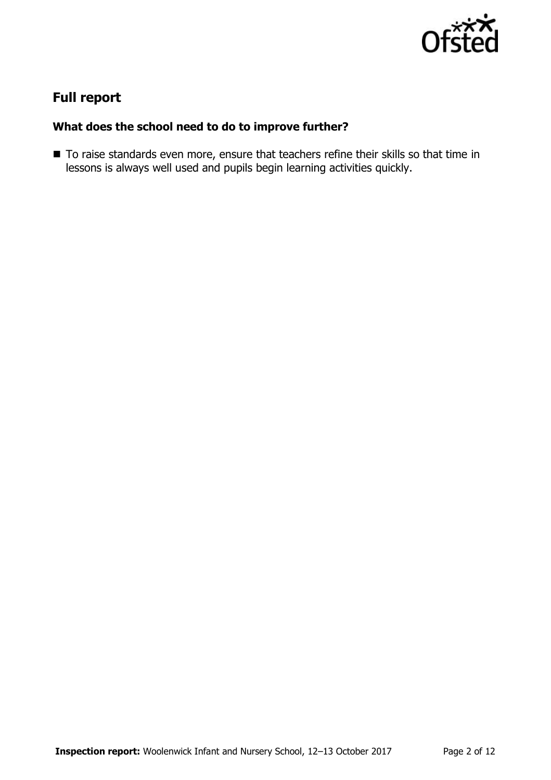

# **Full report**

## **What does the school need to do to improve further?**

■ To raise standards even more, ensure that teachers refine their skills so that time in lessons is always well used and pupils begin learning activities quickly.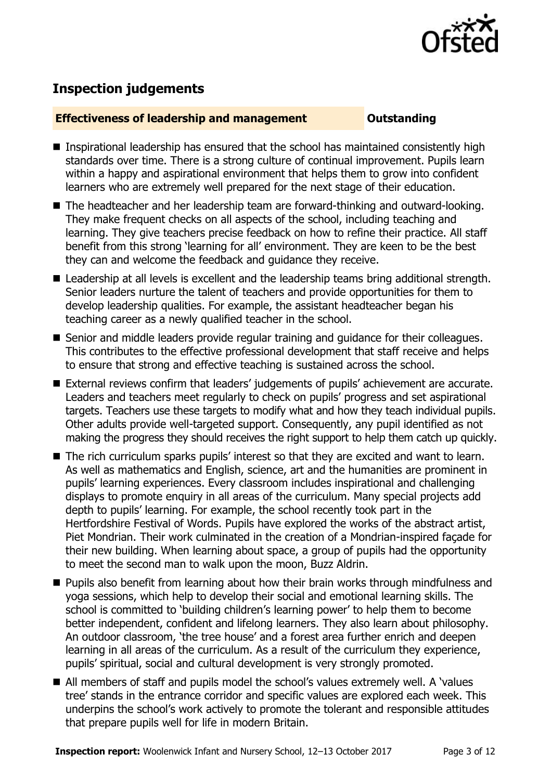

# **Inspection judgements**

### **Effectiveness of leadership and management Cultum Outstanding**

- Inspirational leadership has ensured that the school has maintained consistently high standards over time. There is a strong culture of continual improvement. Pupils learn within a happy and aspirational environment that helps them to grow into confident learners who are extremely well prepared for the next stage of their education.
- The headteacher and her leadership team are forward-thinking and outward-looking. They make frequent checks on all aspects of the school, including teaching and learning. They give teachers precise feedback on how to refine their practice. All staff benefit from this strong 'learning for all' environment. They are keen to be the best they can and welcome the feedback and guidance they receive.
- Leadership at all levels is excellent and the leadership teams bring additional strength. Senior leaders nurture the talent of teachers and provide opportunities for them to develop leadership qualities. For example, the assistant headteacher began his teaching career as a newly qualified teacher in the school.
- Senior and middle leaders provide regular training and guidance for their colleagues. This contributes to the effective professional development that staff receive and helps to ensure that strong and effective teaching is sustained across the school.
- External reviews confirm that leaders' judgements of pupils' achievement are accurate. Leaders and teachers meet regularly to check on pupils' progress and set aspirational targets. Teachers use these targets to modify what and how they teach individual pupils. Other adults provide well-targeted support. Consequently, any pupil identified as not making the progress they should receives the right support to help them catch up quickly.
- The rich curriculum sparks pupils' interest so that they are excited and want to learn. As well as mathematics and English, science, art and the humanities are prominent in pupils' learning experiences. Every classroom includes inspirational and challenging displays to promote enquiry in all areas of the curriculum. Many special projects add depth to pupils' learning. For example, the school recently took part in the Hertfordshire Festival of Words. Pupils have explored the works of the abstract artist, Piet Mondrian. Their work culminated in the creation of a Mondrian-inspired façade for their new building. When learning about space, a group of pupils had the opportunity to meet the second man to walk upon the moon, Buzz Aldrin.
- **Pupils also benefit from learning about how their brain works through mindfulness and** yoga sessions, which help to develop their social and emotional learning skills. The school is committed to 'building children's learning power' to help them to become better independent, confident and lifelong learners. They also learn about philosophy. An outdoor classroom, 'the tree house' and a forest area further enrich and deepen learning in all areas of the curriculum. As a result of the curriculum they experience, pupils' spiritual, social and cultural development is very strongly promoted.
- All members of staff and pupils model the school's values extremely well. A 'values tree' stands in the entrance corridor and specific values are explored each week. This underpins the school's work actively to promote the tolerant and responsible attitudes that prepare pupils well for life in modern Britain.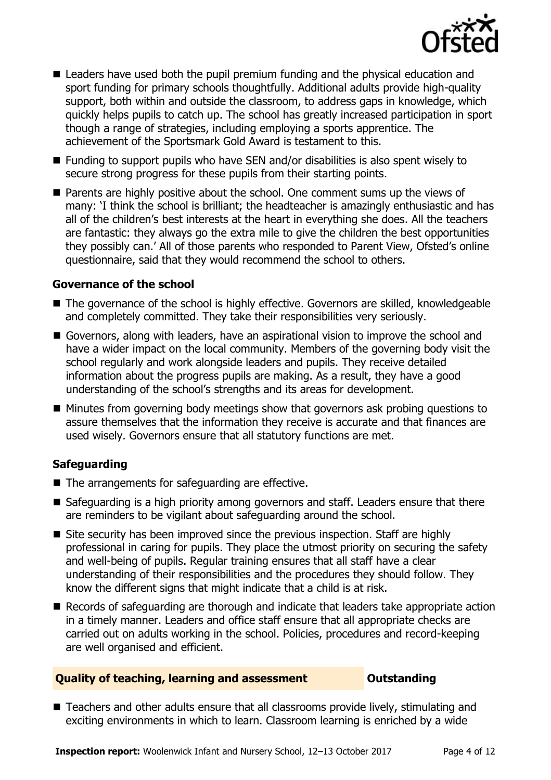

- Leaders have used both the pupil premium funding and the physical education and sport funding for primary schools thoughtfully. Additional adults provide high-quality support, both within and outside the classroom, to address gaps in knowledge, which quickly helps pupils to catch up. The school has greatly increased participation in sport though a range of strategies, including employing a sports apprentice. The achievement of the Sportsmark Gold Award is testament to this.
- Funding to support pupils who have SEN and/or disabilities is also spent wisely to secure strong progress for these pupils from their starting points.
- **Parents are highly positive about the school. One comment sums up the views of** many: 'I think the school is brilliant; the headteacher is amazingly enthusiastic and has all of the children's best interests at the heart in everything she does. All the teachers are fantastic: they always go the extra mile to give the children the best opportunities they possibly can.' All of those parents who responded to Parent View, Ofsted's online questionnaire, said that they would recommend the school to others.

### **Governance of the school**

- The governance of the school is highly effective. Governors are skilled, knowledgeable and completely committed. They take their responsibilities very seriously.
- Governors, along with leaders, have an aspirational vision to improve the school and have a wider impact on the local community. Members of the governing body visit the school regularly and work alongside leaders and pupils. They receive detailed information about the progress pupils are making. As a result, they have a good understanding of the school's strengths and its areas for development.
- Minutes from governing body meetings show that governors ask probing questions to assure themselves that the information they receive is accurate and that finances are used wisely. Governors ensure that all statutory functions are met.

### **Safeguarding**

- The arrangements for safeguarding are effective.
- Safeguarding is a high priority among governors and staff. Leaders ensure that there are reminders to be vigilant about safeguarding around the school.
- Site security has been improved since the previous inspection. Staff are highly professional in caring for pupils. They place the utmost priority on securing the safety and well-being of pupils. Regular training ensures that all staff have a clear understanding of their responsibilities and the procedures they should follow. They know the different signs that might indicate that a child is at risk.
- Records of safeguarding are thorough and indicate that leaders take appropriate action in a timely manner. Leaders and office staff ensure that all appropriate checks are carried out on adults working in the school. Policies, procedures and record-keeping are well organised and efficient.

### **Quality of teaching, learning and assessment Outstanding**

■ Teachers and other adults ensure that all classrooms provide lively, stimulating and exciting environments in which to learn. Classroom learning is enriched by a wide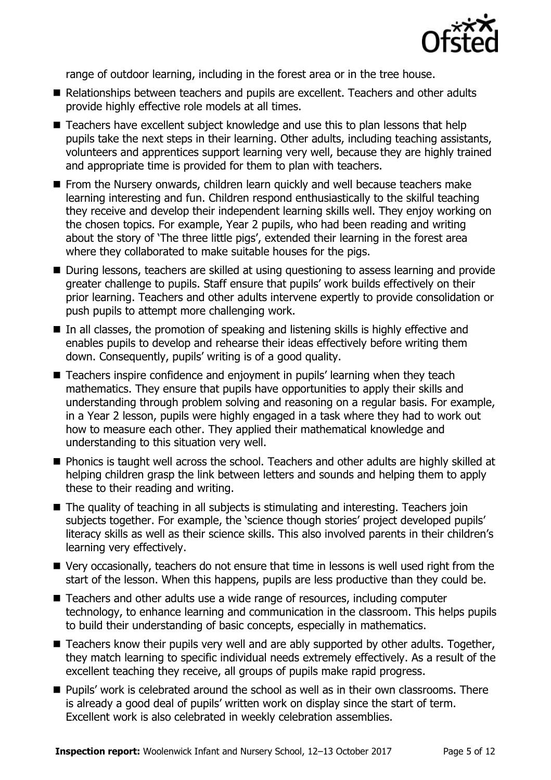

range of outdoor learning, including in the forest area or in the tree house.

- Relationships between teachers and pupils are excellent. Teachers and other adults provide highly effective role models at all times.
- Teachers have excellent subject knowledge and use this to plan lessons that help pupils take the next steps in their learning. Other adults, including teaching assistants, volunteers and apprentices support learning very well, because they are highly trained and appropriate time is provided for them to plan with teachers.
- **From the Nursery onwards, children learn quickly and well because teachers make** learning interesting and fun. Children respond enthusiastically to the skilful teaching they receive and develop their independent learning skills well. They enjoy working on the chosen topics. For example, Year 2 pupils, who had been reading and writing about the story of 'The three little pigs', extended their learning in the forest area where they collaborated to make suitable houses for the pigs.
- During lessons, teachers are skilled at using questioning to assess learning and provide greater challenge to pupils. Staff ensure that pupils' work builds effectively on their prior learning. Teachers and other adults intervene expertly to provide consolidation or push pupils to attempt more challenging work.
- In all classes, the promotion of speaking and listening skills is highly effective and enables pupils to develop and rehearse their ideas effectively before writing them down. Consequently, pupils' writing is of a good quality.
- Teachers inspire confidence and enjoyment in pupils' learning when they teach mathematics. They ensure that pupils have opportunities to apply their skills and understanding through problem solving and reasoning on a regular basis. For example, in a Year 2 lesson, pupils were highly engaged in a task where they had to work out how to measure each other. They applied their mathematical knowledge and understanding to this situation very well.
- **Phonics is taught well across the school. Teachers and other adults are highly skilled at** helping children grasp the link between letters and sounds and helping them to apply these to their reading and writing.
- The quality of teaching in all subjects is stimulating and interesting. Teachers join subjects together. For example, the 'science though stories' project developed pupils' literacy skills as well as their science skills. This also involved parents in their children's learning very effectively.
- Very occasionally, teachers do not ensure that time in lessons is well used right from the start of the lesson. When this happens, pupils are less productive than they could be.
- Teachers and other adults use a wide range of resources, including computer technology, to enhance learning and communication in the classroom. This helps pupils to build their understanding of basic concepts, especially in mathematics.
- Teachers know their pupils very well and are ably supported by other adults. Together, they match learning to specific individual needs extremely effectively. As a result of the excellent teaching they receive, all groups of pupils make rapid progress.
- **Pupils' work is celebrated around the school as well as in their own classrooms. There** is already a good deal of pupils' written work on display since the start of term. Excellent work is also celebrated in weekly celebration assemblies.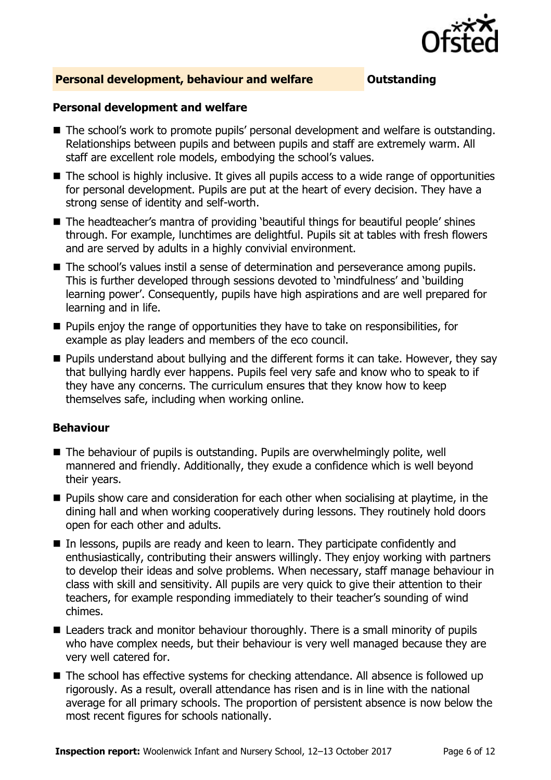

### **Personal development, behaviour and welfare <b>COULD** Dutstanding

### **Personal development and welfare**

- The school's work to promote pupils' personal development and welfare is outstanding. Relationships between pupils and between pupils and staff are extremely warm. All staff are excellent role models, embodying the school's values.
- The school is highly inclusive. It gives all pupils access to a wide range of opportunities for personal development. Pupils are put at the heart of every decision. They have a strong sense of identity and self-worth.
- The headteacher's mantra of providing 'beautiful things for beautiful people' shines through. For example, lunchtimes are delightful. Pupils sit at tables with fresh flowers and are served by adults in a highly convivial environment.
- The school's values instil a sense of determination and perseverance among pupils. This is further developed through sessions devoted to 'mindfulness' and 'building learning power'. Consequently, pupils have high aspirations and are well prepared for learning and in life.
- **Pupils enjoy the range of opportunities they have to take on responsibilities, for** example as play leaders and members of the eco council.
- **Pupils understand about bullying and the different forms it can take. However, they say** that bullying hardly ever happens. Pupils feel very safe and know who to speak to if they have any concerns. The curriculum ensures that they know how to keep themselves safe, including when working online.

### **Behaviour**

- The behaviour of pupils is outstanding. Pupils are overwhelmingly polite, well mannered and friendly. Additionally, they exude a confidence which is well beyond their years.
- **Pupils show care and consideration for each other when socialising at playtime, in the** dining hall and when working cooperatively during lessons. They routinely hold doors open for each other and adults.
- $\blacksquare$  In lessons, pupils are ready and keen to learn. They participate confidently and enthusiastically, contributing their answers willingly. They enjoy working with partners to develop their ideas and solve problems. When necessary, staff manage behaviour in class with skill and sensitivity. All pupils are very quick to give their attention to their teachers, for example responding immediately to their teacher's sounding of wind chimes.
- Leaders track and monitor behaviour thoroughly. There is a small minority of pupils who have complex needs, but their behaviour is very well managed because they are very well catered for.
- The school has effective systems for checking attendance. All absence is followed up rigorously. As a result, overall attendance has risen and is in line with the national average for all primary schools. The proportion of persistent absence is now below the most recent figures for schools nationally.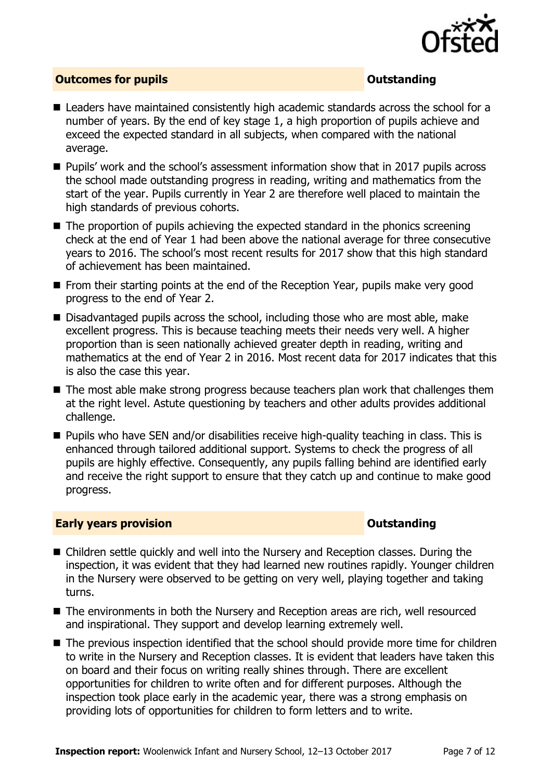

### **Outcomes for pupils Outstanding**

- Leaders have maintained consistently high academic standards across the school for a number of years. By the end of key stage 1, a high proportion of pupils achieve and exceed the expected standard in all subjects, when compared with the national average.
- Pupils' work and the school's assessment information show that in 2017 pupils across the school made outstanding progress in reading, writing and mathematics from the start of the year. Pupils currently in Year 2 are therefore well placed to maintain the high standards of previous cohorts.
- $\blacksquare$  The proportion of pupils achieving the expected standard in the phonics screening check at the end of Year 1 had been above the national average for three consecutive years to 2016. The school's most recent results for 2017 show that this high standard of achievement has been maintained.
- **From their starting points at the end of the Reception Year, pupils make very good** progress to the end of Year 2.
- Disadvantaged pupils across the school, including those who are most able, make excellent progress. This is because teaching meets their needs very well. A higher proportion than is seen nationally achieved greater depth in reading, writing and mathematics at the end of Year 2 in 2016. Most recent data for 2017 indicates that this is also the case this year.
- The most able make strong progress because teachers plan work that challenges them at the right level. Astute questioning by teachers and other adults provides additional challenge.
- **Pupils who have SEN and/or disabilities receive high-quality teaching in class. This is** enhanced through tailored additional support. Systems to check the progress of all pupils are highly effective. Consequently, any pupils falling behind are identified early and receive the right support to ensure that they catch up and continue to make good progress.

### **Early years provision CONSTANDING TO A RESEARCH CONSTANDING TO A RESEARCH CONSTANDING TO A RESEARCH CONSTANDING TO A RESEARCH CONSTANDING TO A RESEARCH CONSTANDING TO A RESEARCH CONSTANDING TO A RESEARCH CONSTANDING TO**

- Children settle quickly and well into the Nursery and Reception classes. During the inspection, it was evident that they had learned new routines rapidly. Younger children in the Nursery were observed to be getting on very well, playing together and taking turns.
- The environments in both the Nursery and Reception areas are rich, well resourced and inspirational. They support and develop learning extremely well.
- The previous inspection identified that the school should provide more time for children to write in the Nursery and Reception classes. It is evident that leaders have taken this on board and their focus on writing really shines through. There are excellent opportunities for children to write often and for different purposes. Although the inspection took place early in the academic year, there was a strong emphasis on providing lots of opportunities for children to form letters and to write.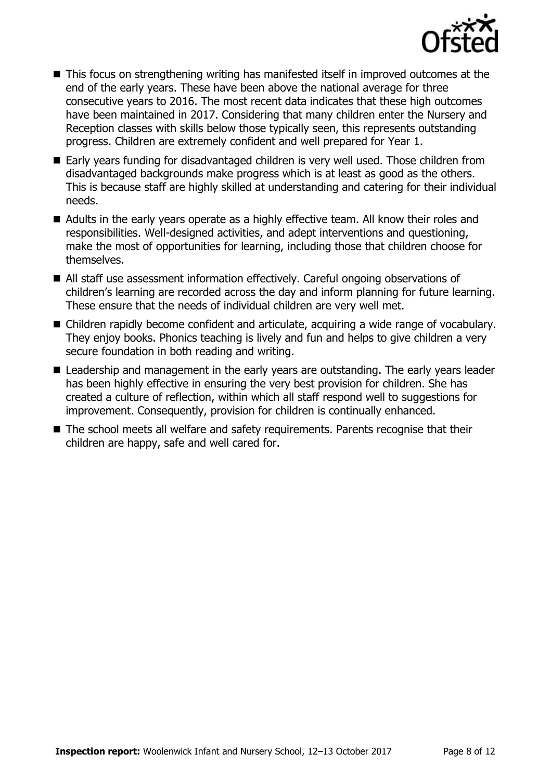

- This focus on strengthening writing has manifested itself in improved outcomes at the end of the early years. These have been above the national average for three consecutive years to 2016. The most recent data indicates that these high outcomes have been maintained in 2017. Considering that many children enter the Nursery and Reception classes with skills below those typically seen, this represents outstanding progress. Children are extremely confident and well prepared for Year 1.
- Early vears funding for disadvantaged children is very well used. Those children from disadvantaged backgrounds make progress which is at least as good as the others. This is because staff are highly skilled at understanding and catering for their individual needs.
- Adults in the early years operate as a highly effective team. All know their roles and responsibilities. Well-designed activities, and adept interventions and questioning, make the most of opportunities for learning, including those that children choose for themselves.
- All staff use assessment information effectively. Careful ongoing observations of children's learning are recorded across the day and inform planning for future learning. These ensure that the needs of individual children are very well met.
- Children rapidly become confident and articulate, acquiring a wide range of vocabulary. They enjoy books. Phonics teaching is lively and fun and helps to give children a very secure foundation in both reading and writing.
- Leadership and management in the early years are outstanding. The early years leader has been highly effective in ensuring the very best provision for children. She has created a culture of reflection, within which all staff respond well to suggestions for improvement. Consequently, provision for children is continually enhanced.
- The school meets all welfare and safety requirements. Parents recognise that their children are happy, safe and well cared for.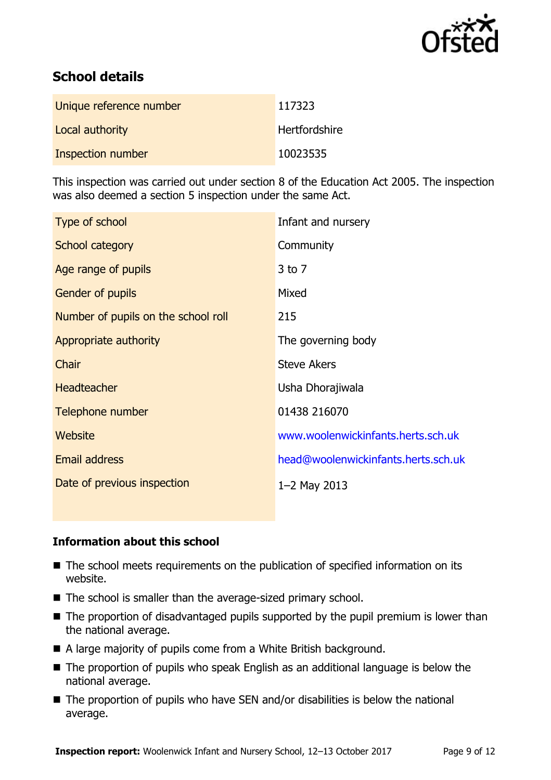

# **School details**

| Unique reference number | 117323        |
|-------------------------|---------------|
| Local authority         | Hertfordshire |
| Inspection number       | 10023535      |

This inspection was carried out under section 8 of the Education Act 2005. The inspection was also deemed a section 5 inspection under the same Act.

| Type of school                      | Infant and nursery                  |
|-------------------------------------|-------------------------------------|
| School category                     | Community                           |
| Age range of pupils                 | $3$ to $7$                          |
| <b>Gender of pupils</b>             | Mixed                               |
| Number of pupils on the school roll | 215                                 |
| Appropriate authority               | The governing body                  |
| Chair                               | <b>Steve Akers</b>                  |
| <b>Headteacher</b>                  | Usha Dhorajiwala                    |
| Telephone number                    | 01438 216070                        |
| Website                             | www.woolenwickinfants.herts.sch.uk  |
| <b>Email address</b>                | head@woolenwickinfants.herts.sch.uk |
| Date of previous inspection         | $1 - 2$ May 2013                    |

### **Information about this school**

- The school meets requirements on the publication of specified information on its website.
- The school is smaller than the average-sized primary school.
- $\blacksquare$  The proportion of disadvantaged pupils supported by the pupil premium is lower than the national average.
- A large majority of pupils come from a White British background.
- The proportion of pupils who speak English as an additional language is below the national average.
- $\blacksquare$  The proportion of pupils who have SEN and/or disabilities is below the national average.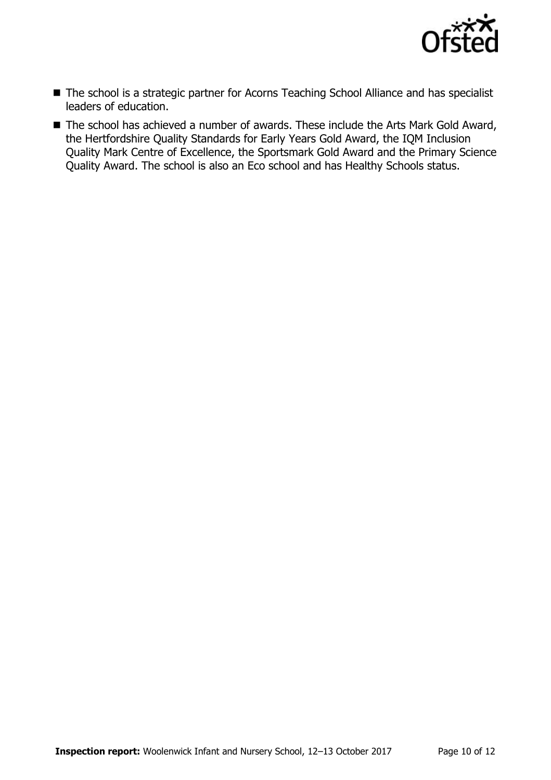

- The school is a strategic partner for Acorns Teaching School Alliance and has specialist leaders of education.
- The school has achieved a number of awards. These include the Arts Mark Gold Award, the Hertfordshire Quality Standards for Early Years Gold Award, the IQM Inclusion Quality Mark Centre of Excellence, the Sportsmark Gold Award and the Primary Science Quality Award. The school is also an Eco school and has Healthy Schools status.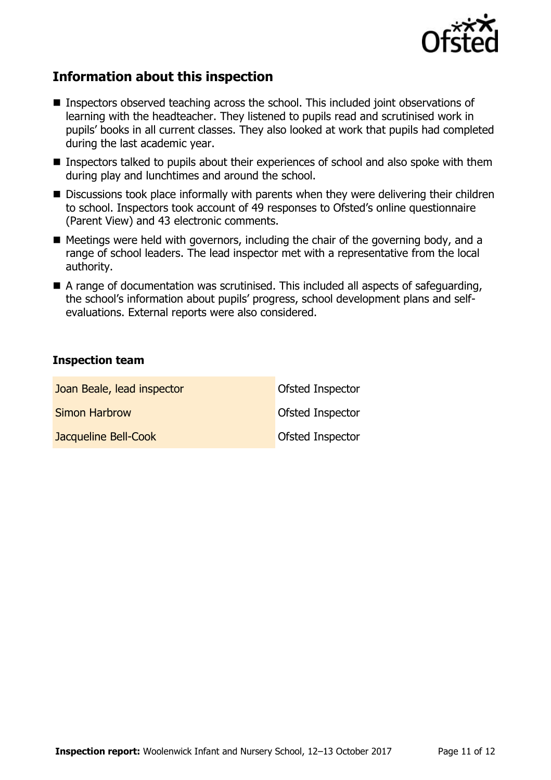

# **Information about this inspection**

- Inspectors observed teaching across the school. This included joint observations of learning with the headteacher. They listened to pupils read and scrutinised work in pupils' books in all current classes. They also looked at work that pupils had completed during the last academic year.
- **Inspectors talked to pupils about their experiences of school and also spoke with them** during play and lunchtimes and around the school.
- Discussions took place informally with parents when they were delivering their children to school. Inspectors took account of 49 responses to Ofsted's online questionnaire (Parent View) and 43 electronic comments.
- Meetings were held with governors, including the chair of the governing body, and a range of school leaders. The lead inspector met with a representative from the local authority.
- A range of documentation was scrutinised. This included all aspects of safeguarding, the school's information about pupils' progress, school development plans and selfevaluations. External reports were also considered.

### **Inspection team**

| Joan Beale, lead inspector | Ofsted Inspector        |
|----------------------------|-------------------------|
| <b>Simon Harbrow</b>       | <b>Ofsted Inspector</b> |
| Jacqueline Bell-Cook       | Ofsted Inspector        |